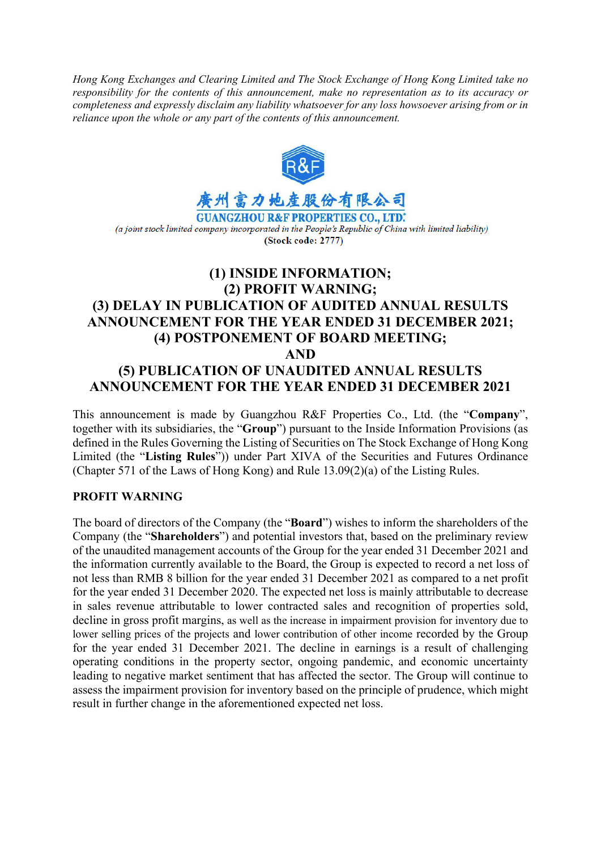*Hong Kong Exchanges and Clearing Limited and The Stock Exchange of Hong Kong Limited take no responsibility for the contents of this announcement, make no representation as to its accuracy or completeness and expressly disclaim any liability whatsoever for any loss howsoever arising from or in reliance upon the whole or any part of the contents of this announcement.* 



(a joint stock limited company incorporated in the People's Republic of China with limited liability) (Stock code: 2777)

# **(1) INSIDE INFORMATION; (2) PROFIT WARNING; (3) DELAY IN PUBLICATION OF AUDITED ANNUAL RESULTS ANNOUNCEMENT FOR THE YEAR ENDED 31 DECEMBER 2021; (4) POSTPONEMENT OF BOARD MEETING; AND (5) PUBLICATION OF UNAUDITED ANNUAL RESULTS ANNOUNCEMENT FOR THE YEAR ENDED 31 DECEMBER 2021**

This announcement is made by Guangzhou R&F Properties Co., Ltd. (the "**Company**", together with its subsidiaries, the "**Group**") pursuant to the Inside Information Provisions (as defined in the Rules Governing the Listing of Securities on The Stock Exchange of Hong Kong Limited (the "**Listing Rules**")) under Part XIVA of the Securities and Futures Ordinance (Chapter 571 of the Laws of Hong Kong) and Rule 13.09(2)(a) of the Listing Rules.

## **PROFIT WARNING**

The board of directors of the Company (the "**Board**") wishes to inform the shareholders of the Company (the "**Shareholders**") and potential investors that, based on the preliminary review of the unaudited management accounts of the Group for the year ended 31 December 2021 and the information currently available to the Board, the Group is expected to record a net loss of not less than RMB 8 billion for the year ended 31 December 2021 as compared to a net profit for the year ended 31 December 2020. The expected net loss is mainly attributable to decrease in sales revenue attributable to lower contracted sales and recognition of properties sold, decline in gross profit margins, as well as the increase in impairment provision for inventory due to lower selling prices of the projects and lower contribution of other income recorded by the Group for the year ended 31 December 2021. The decline in earnings is a result of challenging operating conditions in the property sector, ongoing pandemic, and economic uncertainty leading to negative market sentiment that has affected the sector. The Group will continue to assess the impairment provision for inventory based on the principle of prudence, which might result in further change in the aforementioned expected net loss.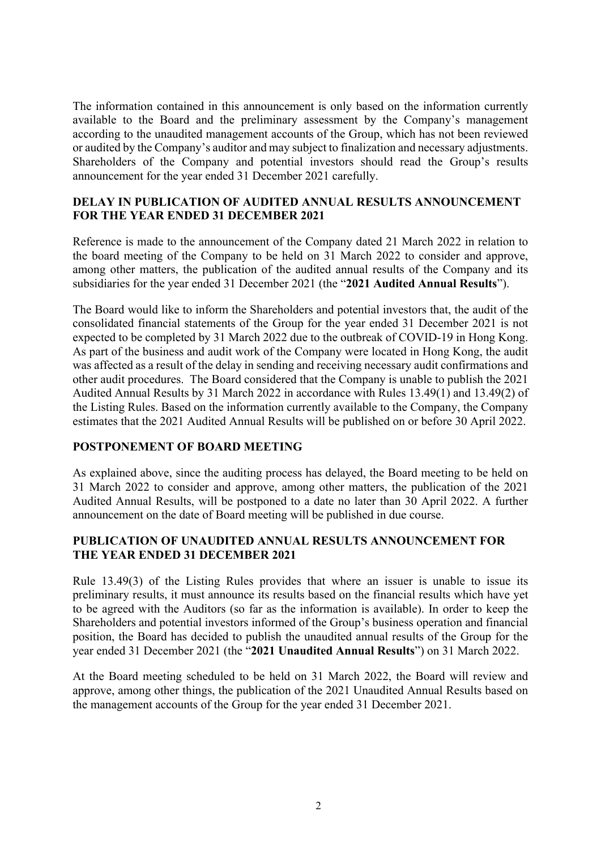The information contained in this announcement is only based on the information currently available to the Board and the preliminary assessment by the Company's management according to the unaudited management accounts of the Group, which has not been reviewed or audited by the Company's auditor and may subject to finalization and necessary adjustments. Shareholders of the Company and potential investors should read the Group's results announcement for the year ended 31 December 2021 carefully.

### **DELAY IN PUBLICATION OF AUDITED ANNUAL RESULTS ANNOUNCEMENT FOR THE YEAR ENDED 31 DECEMBER 2021**

Reference is made to the announcement of the Company dated 21 March 2022 in relation to the board meeting of the Company to be held on 31 March 2022 to consider and approve, among other matters, the publication of the audited annual results of the Company and its subsidiaries for the year ended 31 December 2021 (the "**2021 Audited Annual Results**").

The Board would like to inform the Shareholders and potential investors that, the audit of the consolidated financial statements of the Group for the year ended 31 December 2021 is not expected to be completed by 31 March 2022 due to the outbreak of COVID-19 in Hong Kong. As part of the business and audit work of the Company were located in Hong Kong, the audit was affected as a result of the delay in sending and receiving necessary audit confirmations and other audit procedures. The Board considered that the Company is unable to publish the 2021 Audited Annual Results by 31 March 2022 in accordance with Rules 13.49(1) and 13.49(2) of the Listing Rules. Based on the information currently available to the Company, the Company estimates that the 2021 Audited Annual Results will be published on or before 30 April 2022.

## **POSTPONEMENT OF BOARD MEETING**

As explained above, since the auditing process has delayed, the Board meeting to be held on 31 March 2022 to consider and approve, among other matters, the publication of the 2021 Audited Annual Results, will be postponed to a date no later than 30 April 2022. A further announcement on the date of Board meeting will be published in due course.

### **PUBLICATION OF UNAUDITED ANNUAL RESULTS ANNOUNCEMENT FOR THE YEAR ENDED 31 DECEMBER 2021**

Rule 13.49(3) of the Listing Rules provides that where an issuer is unable to issue its preliminary results, it must announce its results based on the financial results which have yet to be agreed with the Auditors (so far as the information is available). In order to keep the Shareholders and potential investors informed of the Group's business operation and financial position, the Board has decided to publish the unaudited annual results of the Group for the year ended 31 December 2021 (the "**2021 Unaudited Annual Results**") on 31 March 2022.

At the Board meeting scheduled to be held on 31 March 2022, the Board will review and approve, among other things, the publication of the 2021 Unaudited Annual Results based on the management accounts of the Group for the year ended 31 December 2021.